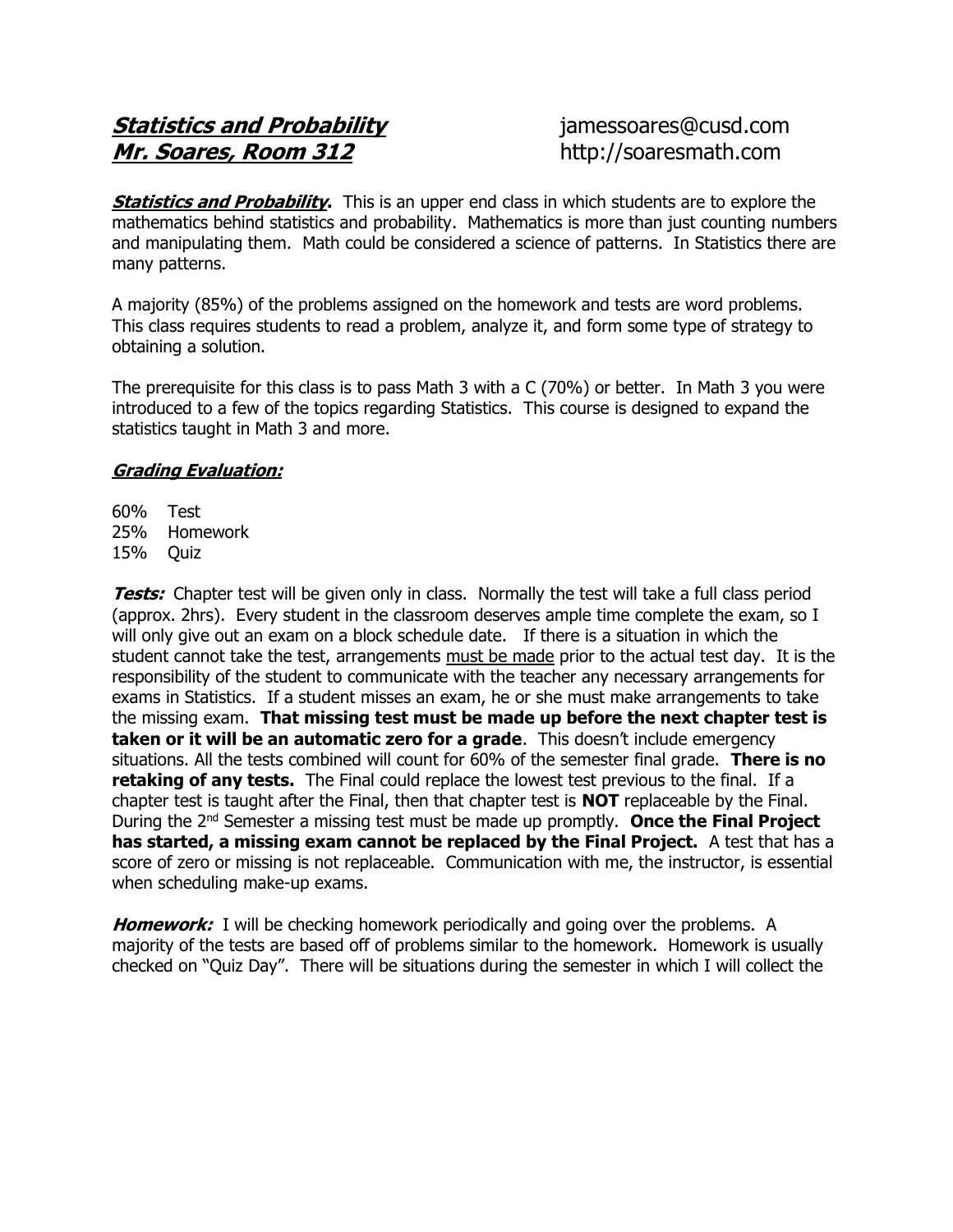## **Statistics and Probability imessoares@cusd.com** Mr. Soares, Room 312 http://soaresmath.com

**Statistics and Probability.** This is an upper end class in which students are to explore the mathematics behind statistics and probability. Mathematics is more than just counting numbers and manipulating them. Math could be considered a science of patterns. In Statistics there are many patterns.

A majority (85%) of the problems assigned on the homework and tests are word problems. This class requires students to read a problem, analyze it, and form some type of strategy to obtaining a solution.

The prerequisite for this class is to pass Math 3 with a C (70%) or better. In Math 3 you were introduced to a few of the topics regarding Statistics. This course is designed to expand the statistics taught in Math 3 and more.

## Grading Evaluation:

60% Test 25% Homework 15% Quiz

**Tests:** Chapter test will be given only in class. Normally the test will take a full class period (approx. 2hrs). Every student in the classroom deserves ample time complete the exam, so I will only give out an exam on a block schedule date. If there is a situation in which the student cannot take the test, arrangements must be made prior to the actual test day. It is the responsibility of the student to communicate with the teacher any necessary arrangements for exams in Statistics. If a student misses an exam, he or she must make arrangements to take the missing exam. That missing test must be made up before the next chapter test is taken or it will be an automatic zero for a grade. This doesn't include emergency situations. All the tests combined will count for 60% of the semester final grade. There is no **retaking of any tests.** The Final could replace the lowest test previous to the final. If a chapter test is taught after the Final, then that chapter test is **NOT** replaceable by the Final. During the 2<sup>nd</sup> Semester a missing test must be made up promptly. Once the Final Project has started, a missing exam cannot be replaced by the Final Project. A test that has a score of zero or missing is not replaceable. Communication with me, the instructor, is essential when scheduling make-up exams.

**Homework:** I will be checking homework periodically and going over the problems. A majority of the tests are based off of problems similar to the homework. Homework is usually checked on "Quiz Day". There will be situations during the semester in which I will collect the